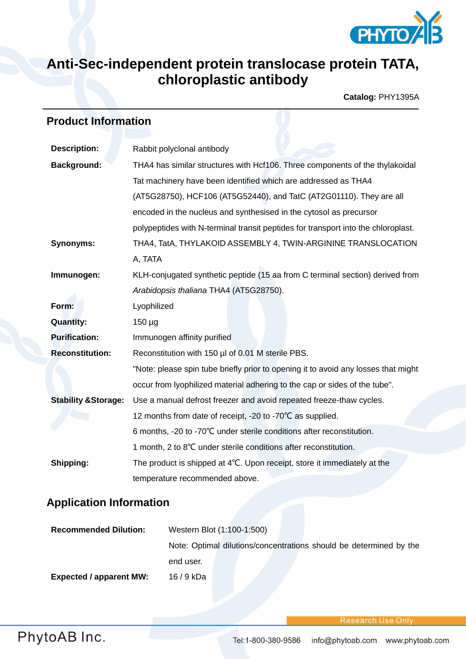

## **Anti-Sec-independent protein translocase protein TATA, chloroplastic antibody**

**Catalog:** PHY1395A

## **Product Information**

| <b>Description:</b>             | Rabbit polyclonal antibody                                                         |  |
|---------------------------------|------------------------------------------------------------------------------------|--|
| <b>Background:</b>              | THA4 has similar structures with Hcf106. Three components of the thylakoidal       |  |
|                                 | Tat machinery have been identified which are addressed as THA4                     |  |
|                                 | (AT5G28750), HCF106 (AT5G52440), and TatC (AT2G01110). They are all                |  |
|                                 | encoded in the nucleus and synthesised in the cytosol as precursor                 |  |
|                                 | polypeptides with N-terminal transit peptides for transport into the chloroplast.  |  |
| <b>Synonyms:</b>                | THA4, TatA, THYLAKOID ASSEMBLY 4, TWIN-ARGININE TRANSLOCATION                      |  |
|                                 | A, TATA                                                                            |  |
| Immunogen:                      | KLH-conjugated synthetic peptide (15 aa from C terminal section) derived from      |  |
|                                 | Arabidopsis thaliana THA4 (AT5G28750).                                             |  |
| Form:                           | Lyophilized                                                                        |  |
| <b>Quantity:</b>                | $150 \mu g$                                                                        |  |
| <b>Purification:</b>            | Immunogen affinity purified                                                        |  |
| <b>Reconstitution:</b>          | Reconstitution with 150 µl of 0.01 M sterile PBS.                                  |  |
|                                 | "Note: please spin tube briefly prior to opening it to avoid any losses that might |  |
|                                 | occur from lyophilized material adhering to the cap or sides of the tube".         |  |
| <b>Stability &amp; Storage:</b> | Use a manual defrost freezer and avoid repeated freeze-thaw cycles.                |  |
|                                 | 12 months from date of receipt, -20 to -70°C as supplied.                          |  |
|                                 | 6 months, -20 to -70°C under sterile conditions after reconstitution.              |  |
|                                 | 1 month, 2 to 8°C under sterile conditions after reconstitution.                   |  |
| Shipping:                       | The product is shipped at 4°C. Upon receipt, store it immediately at the           |  |
|                                 | temperature recommended above.                                                     |  |

## **Application Information**

| <b>Recommended Dilution:</b>   | Western Blot (1:100-1:500)                                         |
|--------------------------------|--------------------------------------------------------------------|
|                                | Note: Optimal dilutions/concentrations should be determined by the |
|                                | end user.                                                          |
| <b>Expected / apparent MW:</b> | 16 / 9 kDa                                                         |

Research Use Onl